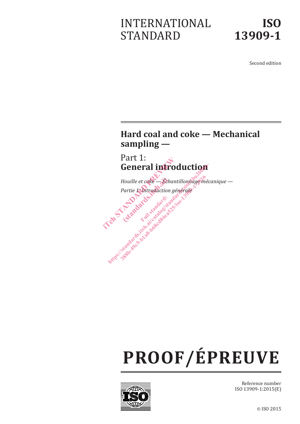# INTERNATIONAL STANDARD

Second edition

# **Hard coal and coke — Mechanical sampling —**

Part 1: **General introduction**



# **PROOF/ÉPREUVE**



Reference number ISO 13909-1:2015(E)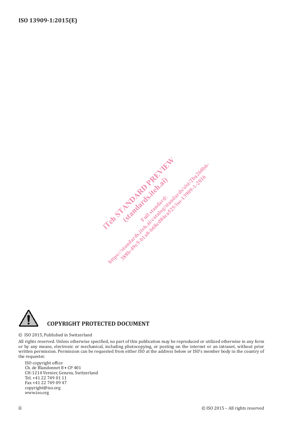



#### © ISO 2015, Published in Switzerland

All rights reserved. Unless otherwise specified, no part of this publication may be reproduced or utilized otherwise in any form or by any means, electronic or mechanical, including photocopying, or posting on the internet or an intranet, without prior written permission. Permission can be requested from either ISO at the address below or ISO's member body in the country of the requester.

ISO copyright office Ch. de Blandonnet 8 • CP 401 CH-1214 Vernier, Geneva, Switzerland Tel. +41 22 749 01 11 Fax +41 22 749 09 47 copyright@iso.org www.iso.org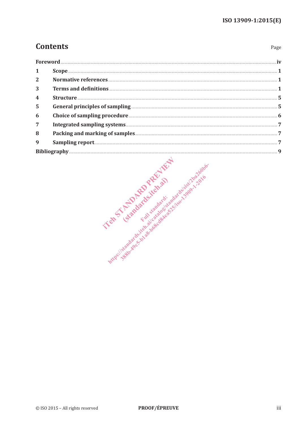Page

# **Contents**

| Foreword |                                                                                                                                                                                                                                                                                                                                                                                         |
|----------|-----------------------------------------------------------------------------------------------------------------------------------------------------------------------------------------------------------------------------------------------------------------------------------------------------------------------------------------------------------------------------------------|
|          | $\textbf{Scope} \textit{} \textit{} \textit{} \textit{} \textit{} \textit{} \textit{} \textit{} \textit{} \textit{} \textit{} \textit{} \textit{} \textit{} \textit{} \textit{} \textit{} \textit{} \textit{} \textit{} \textit{} \textit{} \textit{} \textit{} \textit{} \textit{} \textit{} \textit{} \textit{} \textit{} \textit{} \textit{} \textit{} \textit{} \textit{} \textit{$ |
| 2        |                                                                                                                                                                                                                                                                                                                                                                                         |
| 3        |                                                                                                                                                                                                                                                                                                                                                                                         |
|          |                                                                                                                                                                                                                                                                                                                                                                                         |
| 5        |                                                                                                                                                                                                                                                                                                                                                                                         |
| 6        |                                                                                                                                                                                                                                                                                                                                                                                         |
| 7        |                                                                                                                                                                                                                                                                                                                                                                                         |
| 8        |                                                                                                                                                                                                                                                                                                                                                                                         |
| 9        |                                                                                                                                                                                                                                                                                                                                                                                         |
|          |                                                                                                                                                                                                                                                                                                                                                                                         |

Interest of the determined the fight of the strategy of the ready of the contract of the strategy of the ready of the ready of the ready of the ready of the ready of the ready of the ready of the ready of the ready of the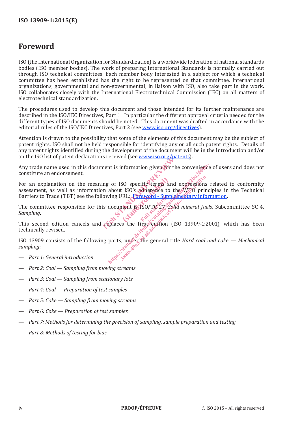# **Foreword**

ISO (the International Organization for Standardization) is a worldwide federation of national standards bodies (ISO member bodies). The work of preparing International Standards is normally carried out through ISO technical committees. Each member body interested in a subject for which a technical committee has been established has the right to be represented on that committee. International organizations, governmental and non-governmental, in liaison with ISO, also take part in the work. ISO collaborates closely with the International Electrotechnical Commission (IEC) on all matters of electrotechnical standardization.

The procedures used to develop this document and those intended for its further maintenance are described in the ISO/IEC Directives, Part 1. In particular the different approval criteria needed for the different types of ISO documents should be noted. This document was drafted in accordance with the editorial rules of the ISO/IEC Directives, Part 2 (see www.iso.org/directives).

Attention is drawn to the possibility that some of the elements of this document may be the subject of patent rights. ISO shall not be held responsible for identifying any or all such patent rights. Details of any patent rights identified during the development of the document will be in the Introduction and/or on the ISO list of patent declarations received (see www.iso.org/patents).

Any trade name used in this document is information given for the convenience of users and does not constitute an endorsement.

For an explanation on the meaning of ISO specific terms and expressions related to conformity assessment, as well as information about ISO's adherence to the WTO principles in the Technical Barriers to Trade (TBT) see the following URL: Foreword - Supplementary information. is information given for the computer of the computer of the computer of the computer and expansion about ISO's adherence to the V<br>is document is iso/TG<sup>Q</sup>27, Solid m<br>is document is iso/TG<sup>Q27</sup>, Solid m<br>replaces the first SO specific terms and<br>
ISO's adherence to<br>
RL: Foreword - Support<br>
nent is ISO/TG 27-30 ht is information given for the convenience<br>
determs and expressions rabout ISO's adherence to the WTO princi<br>
ving URL: Foreword - Supplementary inform<br>
document 18.1SO/TG 27-Solid mineral fuels<br>
epiaces the first edition SO specific terms and expressions<br>
t ISO's adherence to the WTO principality<br>
URL: Foreword - Supplementary informations<br>
ment is ISO/TG 27-Solid mineral fu<br>
ment is ISO/TG 27-Solid mineral fu<br>
es the first edition (ISO 13

The committee responsible for this document is ISO/TC 27, *Solid mineral fuels*, Subcommittee SC 4, *Sampling*.

This second edition cancels and replaces the first edition (ISO 13909-1:2001), which has been technically revised.

ISO 13909 consists of the following parts, under the general title *Hard coal and coke — Mechanical sampling*:

- *Part 1: General introduction*
- *Part 2: Coal Sampling from moving streams*
- *Part 3: Coal Sampling from stationary lots*
- *Part 4: Coal Preparation of test samples*
- *Part 5: Coke Sampling from moving streams*
- *Part 6: Coke Preparation of test samples*
- *Part 7: Methods for determining the precision of sampling, sample preparation and testing*
- *Part 8: Methods of testing for bias*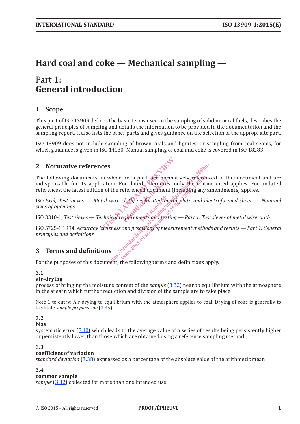# **Hard coal and coke — Mechanical sampling —**

# Part 1: **General introduction**

# **1 Scope**

This part of ISO 13909 defines the basic terms used in the sampling of solid mineral fuels, describes the general principles of sampling and details the information to be provided in the documentation and the sampling report. It also lists the other parts and gives guidance on the selection of the appropriate part.

ISO 13909 does not include sampling of brown coals and lignites, or sampling from coal seams, for which guidance is given in ISO 14180. Manual sampling of coal and coke is covered in ISO 18283.

## **2 Normative references**

The following documents, in whole or in part, are normatively referenced in this document and are indispensable for its application. For dated references, only the edition cited applies. For undated references, the latest edition of the referenced document (including any amendments) applies. ces<br>
In whole or in part, are normative<br>
in of the referenced document (included)<br>
in the referenced document (included)<br>
al wire cloth perforated metal plan<br>
chnical requirements and testing or in part, are norm<br>or dated references,<br>eferenced document<br>cloth, perforated me **s**<br>whole or in part, are normatively reference<br>ion. For dated references, only the edition<br>f the referenced document (including any ar<br>wire cloth, perforated metal plate and electrical requirements and testing — Part 1:  $\frac{388}{1000}$  er in part, are normatively refere<br>For dated references, only the edit<br>referenced document (including any<br>cloth) perforated metal plate and e<br>requirements and testing — Part 1: Te<br>and precision) of measurem

ISO 565, *Test sieves* — Metal wire cloth, perforated metal plate and electroformed sheet — Nominal sizes of openings<br>
ISO 3310-1, *Test sieves* — *Technical requirements* and testing — Part 1: *Test sieves of metal wire c sizes of openings*

ISO 3310-1, *Test sieves — Technical requirements and testing — Part 1: Test sieves of metal wire cloth*

ISO 5725-1:1994, *Accuracy (trueness and precision) of measurement methods and results — Part 1: General principles and definitions*

## **3 Terms and definitions**

For the purposes of this document, the following terms and definitions apply.

#### **3.1**

#### **air-drying**

process of bringing the moisture content of the *sample* (3.32) near to equilibrium with the atmosphere in the area in which further reduction and division of the sample are to take place

Note 1 to entry: Air-drying to equilibrium with the atmosphere applies to coal. Drying of coke is generally to facilitate *sample preparation* (3.35).

## **3.2**

#### **bias**

systematic *error* (3.10) which leads to the average value of a series of results being persistently higher or persistently lower than those which are obtained using a reference sampling method

#### **3.3**

#### **coefficient of variation**

*standard deviation* (3.38) expressed as a percentage of the absolute value of the arithmetic mean

#### **3.4**

#### **common sample**

*sample* (3.32) collected for more than one intended use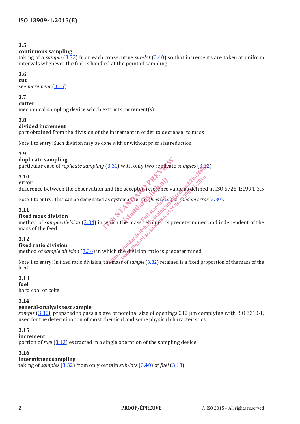#### **continuous sampling**

taking of a *sample* (3.32) from each consecutive *sub-lot* (3.40) so that increments are taken at uniform intervals whenever the fuel is handled at the point of sampling

#### **3.6**

**cut** see *increment* (3.15)

#### **3.7**

**cutter**

mechanical sampling device which extracts increment(s)

#### **3.8**

#### **divided increment**

part obtained from the division of the increment in order to decrease its mass

Note 1 to entry: Such division may be done with or without prior size reduction.

#### **3.9**

#### **duplicate sampling**

particular case of *replicate sampling* (3.31) with only two replicate *samples* (3.32)

#### **3.10**

#### **error**

difference between the observation and the accepted reference value as defined in ISO 5725-1:1994, 3.5 accepted reference

Note 1 to entry: This can be designated as systematic error (*bias* (3.2)) or *random error* (3.30).

#### **3.11**

#### **fixed mass division**

duplicate sampling<br>particular case of *replicate sampling* (3.31) with only two replicate *samples* (3.32)<br>3.10<br>error<br>difference between the observation and the accepted reference value as a set<br>for our difference between mass of the feed 3.31) with only two replicate samples  $(3,32)$ <br>
and the accepted reference value as defined in<br>
s systematic error (bias  $(3,2)$ ) or random error (<br>
Rich the mass replained is predetermined and<br>
thich the division ratio i

#### **3.12**

#### **fixed ratio division**

method of *sample division* (3.34) in which the division ratio is predetermined

Note 1 to entry: In fixed ratio division, the mass of *sample* (3.32) retained is a fixed proportion of the mass of the feed.

#### **3.13**

#### **fuel**

hard coal or coke

#### **3.14**

#### **general-analysis test sample**

*sample* (3.32), prepared to pass a sieve of nominal size of openings 212 µm complying with ISO 3310-1, used for the determination of most chemical and some physical characteristics

#### **3.15**

#### **increment**

portion of *fuel* (3.13) extracted in a single operation of the sampling device

#### **3.16**

#### **intermittent sampling**

taking of *samples* (3.32) from only certain *sub-lots* (3.40) of *fuel* (3.13)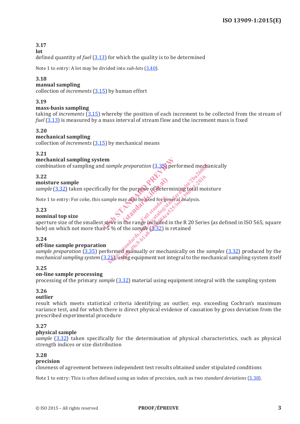**lot**

defined quantity of *fuel* (3.13) for which the quality is to be determined

Note 1 to entry: A lot may be divided into *sub-lots* (3.40).

#### **3.18**

#### **manual sampling**

collection of *increments* (3.15) by human effort

#### **3.19**

#### **mass-basis sampling**

taking of *increments* (3.15) whereby the position of each increment to be collected from the stream of *fuel* (3.13) is measured by a mass interval of stream flow and the increment mass is fixed

#### **3.20**

#### **mechanical sampling**

collection of *increments* (3.15) by mechanical means

#### **3.21**

#### **mechanical sampling system**

combination of sampling and *sample preparation* (3.35) performed mechanically

#### **3.22**

#### **moisture sample**

*sample* (3.32) taken specifically for the purpose of determining total moisture the purpose of detern<br>ay also be used for general<br>Ful deternative standards.

Note 1 to entry: For coke, this sample may also be used for general analysis.

#### **3.23**

#### **nominal top size**

aperture size of the smallest sieve in the range included in the R 20 Series (as defined in ISO 565, square hole) on which not more than 5 % of the *sample* (8.32) is retained<br>3.24<br>off-line can em<br>
ally for the purpose of determining<br>
sample may also be used for general and<br>
sample may also be used for general and<br>
sample in the range included in the F<br>
is tieve in the range included in the F<br>
is 5% of the *sampl* 

#### **3.24**

#### **off-line sample preparation**

*sample preparation* (3.35) performed manually or mechanically on the *samples* (3.32) produced by the *mechanical sampling system* (3.21), using equipment not integral to the mechanical sampling system itself html<br>
html performed mechanized probably for the purpose of determining total moist<br>
mple may also be used for general analysis.<br>
tive in the range included in the R 20 Series (<br>
5% of the *sample* (\$.32) is retained<br>
form the purpose of determining total models of the same included in the R 20 Series of the sample (8.32) is retained

#### **3.25**

#### **on-line sample processing**

processing of the primary *sample* (3.32) material using equipment integral with the sampling system

#### **3.26**

#### **outlier**

result which meets statistical criteria identifying an outlier, esp. exceeding Cochran's maximum variance test, and for which there is direct physical evidence of causation by gross deviation from the prescribed experimental procedure

#### **3.27**

#### **physical sample**

*sample* (3.32) taken specifically for the determination of physical characteristics, such as physical strength indices or size distribution

#### **3.28**

#### **precision**

closeness of agreement between independent test results obtained under stipulated conditions

Note 1 to entry: This is often defined using an index of precision, such as two *standard deviations* (3.38).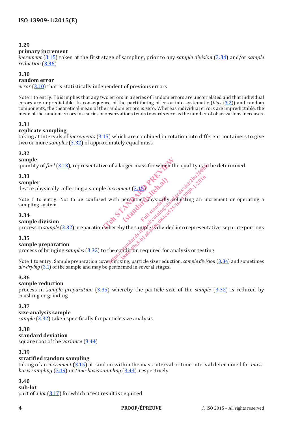#### **primary increment**

*increment* (3.15) taken at the first stage of sampling, prior to any *sample division* (3.34) and/or *sample reduction* (3.36)

#### **3.30**

#### **random error**

*error* (3.10) that is statistically independent of previous errors

Note 1 to entry: This implies that any two errors in a series of random errors are uncorrelated and that individual errors are unpredictable. In consequence of the partitioning of error into systematic (*bias* (3.2)) and random components, the theoretical mean of the random errors is zero. Whereas individual errors are unpredictable, the mean of the random errors in a series of observations tends towards zero as the number of observations increases.

#### **3.31**

#### **replicate sampling**

taking at intervals of *increments* (3.15) which are combined in rotation into different containers to give two or more *samples* (3.32) of approximately equal mass

#### **3.32**

#### **sample**

quantity of *fuel* (3.13), representative of a larger mass for which the quality is to be determined

#### **3.33**

#### **sampler**

device physically collecting a sample *increment* (3.15)

Note 1 to entry: Not to be confused with personnel physically collecting an increment or operating a sampling system. ve of a larger mass for which the que<br>
le increment (3.15) and a vital personnel britain and the personnel britain and the state of the contract of the contract of the contract of the contract of the contract of the contra ent (3.15) PREVial **Standard** increment (3.15)<br>increment (3.15)<br>with personnel physically dollarting an increment<br>with personnel physically dollarting an increme<br>thereby the sample is divided into representa<br>the condition required for analysis or testi

#### **3.34**

#### **sample division**

**sample division**<br>process in *sample* (3.32) preparation whereby the sample is divided into representative, separate portions<br>ample preparation<br>process in sample preparation

#### **3.35**

#### **sample preparation**

process of bringing *samples* (3.32) to the condition required for analysis or testing

Note 1 to entry: Sample preparation covers mixing, particle size reduction, *sample division* (3.34) and sometimes *air-drying* (3.1) of the sample and may be performed in several stages.

#### **3.36**

#### **sample reduction**

process in *sample preparation* (3.35) whereby the particle size of the *sample* (3.32) is reduced by crushing or grinding

#### **3.37**

#### **size analysis sample**

*sample* (3.32) taken specifically for particle size analysis

#### **3.38**

#### **standard deviation**

square root of the *variance* (3.44)

#### **3.39**

#### **stratified random sampling**

taking of an *increment* (3.15) at random within the mass interval or time interval determined for *massbasis sampling* (3.19) or *time-basis sampling* (3.43), respectively

## **3.40**

**sub-lot**